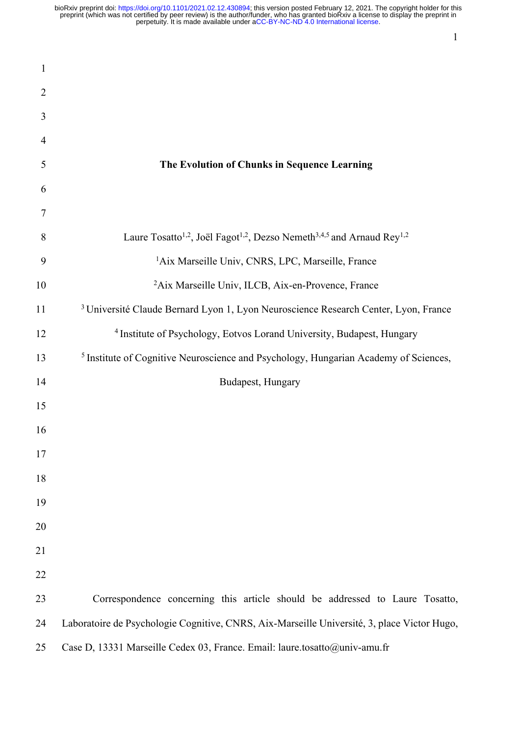| 1              |                                                                                                                        |
|----------------|------------------------------------------------------------------------------------------------------------------------|
| $\overline{2}$ |                                                                                                                        |
| 3              |                                                                                                                        |
| $\overline{4}$ |                                                                                                                        |
| 5              | The Evolution of Chunks in Sequence Learning                                                                           |
| 6              |                                                                                                                        |
| 7              |                                                                                                                        |
| 8              | Laure Tosatto <sup>1,2</sup> , Joël Fagot <sup>1,2</sup> , Dezso Nemeth <sup>3,4,5</sup> and Arnaud Rey <sup>1,2</sup> |
| 9              | <sup>1</sup> Aix Marseille Univ, CNRS, LPC, Marseille, France                                                          |
| 10             | <sup>2</sup> Aix Marseille Univ, ILCB, Aix-en-Provence, France                                                         |
| 11             | <sup>3</sup> Université Claude Bernard Lyon 1, Lyon Neuroscience Research Center, Lyon, France                         |
| 12             | <sup>4</sup> Institute of Psychology, Eotvos Lorand University, Budapest, Hungary                                      |
| 13             | <sup>5</sup> Institute of Cognitive Neuroscience and Psychology, Hungarian Academy of Sciences,                        |
| 14             | Budapest, Hungary                                                                                                      |
| 15             |                                                                                                                        |
| 16             |                                                                                                                        |
| 17             |                                                                                                                        |
| 18             |                                                                                                                        |
| 19             |                                                                                                                        |
| 20             |                                                                                                                        |
| 21             |                                                                                                                        |
| 22             |                                                                                                                        |
| 23             | Correspondence concerning this article should be addressed to Laure Tosatto,                                           |
| 24             | Laboratoire de Psychologie Cognitive, CNRS, Aix-Marseille Université, 3, place Victor Hugo,                            |
| 25             | Case D, 13331 Marseille Cedex 03, France. Email: laure.tosatto@univ-amu.fr                                             |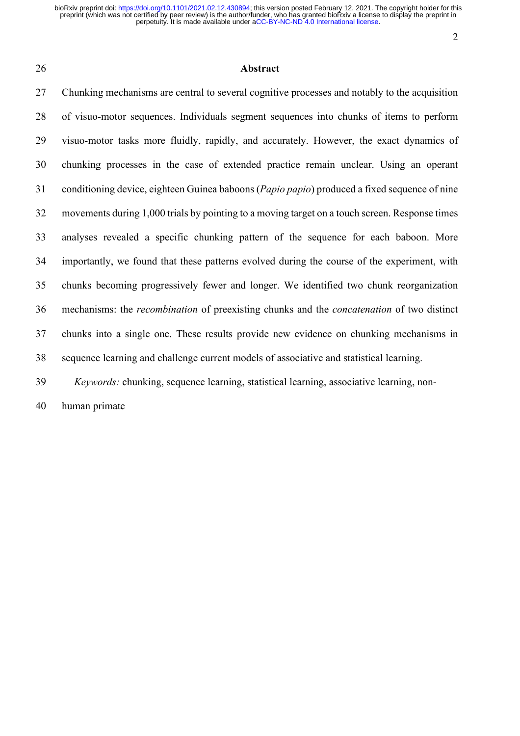#### Abstract

 Chunking mechanisms are central to several cognitive processes and notably to the acquisition of visuo-motor sequences. Individuals segment sequences into chunks of items to perform visuo-motor tasks more fluidly, rapidly, and accurately. However, the exact dynamics of chunking processes in the case of extended practice remain unclear. Using an operant conditioning device, eighteen Guinea baboons (*Papio papio*) produced a fixed sequence of nine movements during 1,000 trials by pointing to a moving target on a touch screen. Response times analyses revealed a specific chunking pattern of the sequence for each baboon. More importantly, we found that these patterns evolved during the course of the experiment, with chunks becoming progressively fewer and longer. We identified two chunk reorganization mechanisms: the *recombination* of preexisting chunks and the *concatenation* of two distinct chunks into a single one. These results provide new evidence on chunking mechanisms in sequence learning and challenge current models of associative and statistical learning.

*Keywords:* chunking, sequence learning, statistical learning, associative learning, non-

human primate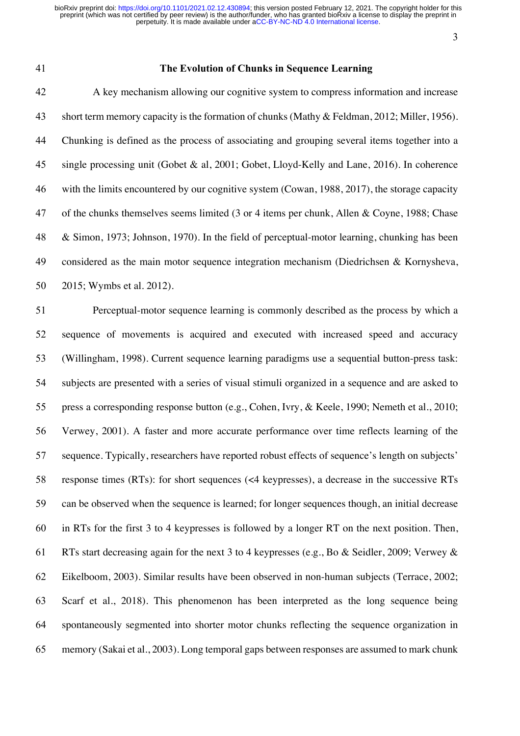#### **The Evolution of Chunks in Sequence Learning**

 A key mechanism allowing our cognitive system to compress information and increase short term memory capacity is the formation of chunks (Mathy & Feldman, 2012; Miller, 1956). Chunking is defined as the process of associating and grouping several items together into a single processing unit (Gobet & al, 2001; Gobet, Lloyd-Kelly and Lane, 2016). In coherence with the limits encountered by our cognitive system (Cowan, 1988, 2017), the storage capacity of the chunks themselves seems limited (3 or 4 items per chunk, Allen & Coyne, 1988; Chase & Simon, 1973; Johnson, 1970). In the field of perceptual-motor learning, chunking has been considered as the main motor sequence integration mechanism (Diedrichsen & Kornysheva, 2015; Wymbs et al. 2012).

 Perceptual-motor sequence learning is commonly described as the process by which a sequence of movements is acquired and executed with increased speed and accuracy (Willingham, 1998). Current sequence learning paradigms use a sequential button-press task: subjects are presented with a series of visual stimuli organized in a sequence and are asked to press a corresponding response button (e.g., Cohen, Ivry, & Keele, 1990; Nemeth et al., 2010; Verwey, 2001). A faster and more accurate performance over time reflects learning of the sequence. Typically, researchers have reported robust effects of sequence's length on subjects' response times (RTs): for short sequences (<4 keypresses), a decrease in the successive RTs can be observed when the sequence is learned; for longer sequences though, an initial decrease in RTs for the first 3 to 4 keypresses is followed by a longer RT on the next position. Then, RTs start decreasing again for the next 3 to 4 keypresses (e.g., Bo & Seidler, 2009; Verwey & Eikelboom, 2003). Similar results have been observed in non-human subjects (Terrace, 2002; Scarf et al., 2018). This phenomenon has been interpreted as the long sequence being spontaneously segmented into shorter motor chunks reflecting the sequence organization in memory (Sakai et al., 2003). Long temporal gaps between responses are assumed to mark chunk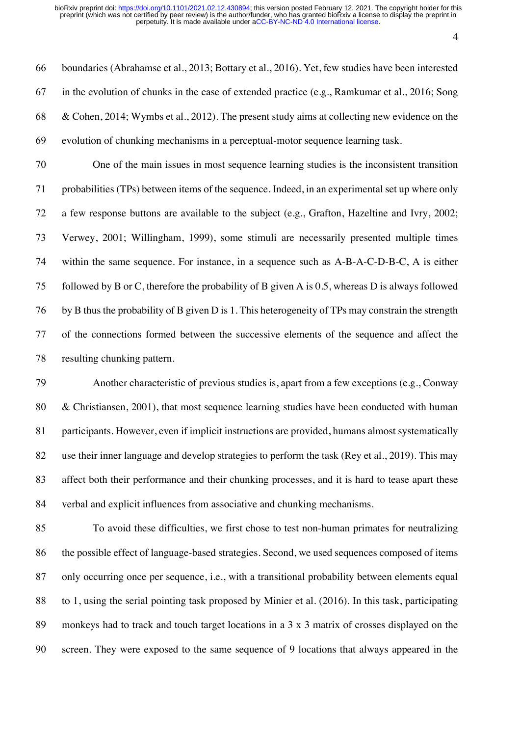boundaries (Abrahamse et al., 2013; Bottary et al., 2016). Yet, few studies have been interested in the evolution of chunks in the case of extended practice (e.g., Ramkumar et al., 2016; Song & Cohen, 2014; Wymbs et al., 2012). The present study aims at collecting new evidence on the evolution of chunking mechanisms in a perceptual-motor sequence learning task.

 One of the main issues in most sequence learning studies is the inconsistent transition probabilities (TPs) between items of the sequence. Indeed, in an experimental set up where only a few response buttons are available to the subject (e.g., Grafton, Hazeltine and Ivry, 2002; Verwey, 2001; Willingham, 1999), some stimuli are necessarily presented multiple times within the same sequence. For instance, in a sequence such as A-B-A-C-D-B-C, A is either followed by B or C, therefore the probability of B given A is 0.5, whereas D is always followed by B thus the probability of B given D is 1. This heterogeneity of TPs may constrain the strength of the connections formed between the successive elements of the sequence and affect the resulting chunking pattern.

 Another characteristic of previous studies is, apart from a few exceptions (e.g., Conway & Christiansen, 2001), that most sequence learning studies have been conducted with human participants. However, even if implicit instructions are provided, humans almost systematically use their inner language and develop strategies to perform the task (Rey et al., 2019). This may affect both their performance and their chunking processes, and it is hard to tease apart these verbal and explicit influences from associative and chunking mechanisms.

 To avoid these difficulties, we first chose to test non-human primates for neutralizing the possible effect of language-based strategies. Second, we used sequences composed of items only occurring once per sequence, i.e., with a transitional probability between elements equal to 1, using the serial pointing task proposed by Minier et al. (2016). In this task, participating monkeys had to track and touch target locations in a 3 x 3 matrix of crosses displayed on the screen. They were exposed to the same sequence of 9 locations that always appeared in the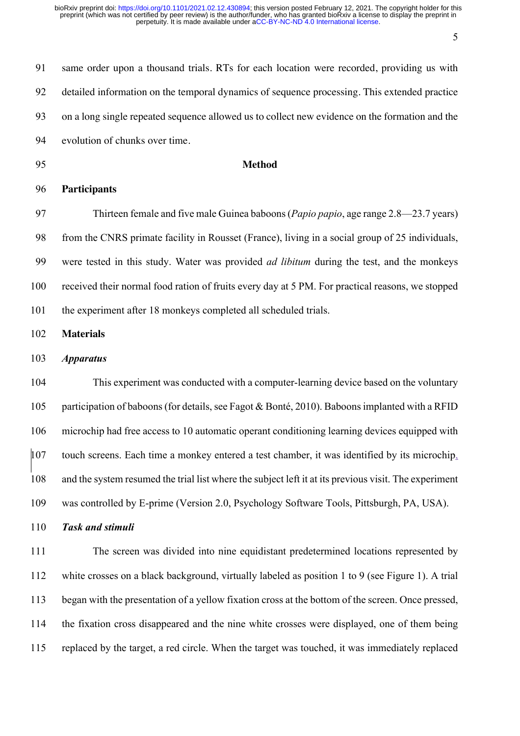same order upon a thousand trials. RTs for each location were recorded, providing us with detailed information on the temporal dynamics of sequence processing. This extended practice on a long single repeated sequence allowed us to collect new evidence on the formation and the evolution of chunks over time. **Method Participants** Thirteen female and five male Guinea baboons (*Papio papio*, age range 2.8—23.7 years) from the CNRS primate facility in Rousset (France), living in a social group of 25 individuals, were tested in this study. Water was provided *ad libitum* during the test, and the monkeys received their normal food ration of fruits every day at 5 PM. For practical reasons, we stopped 101 the experiment after 18 monkeys completed all scheduled trials. **Materials** *Apparatus* This experiment was conducted with a computer-learning device based on the voluntary participation of baboons (for details, see Fagot & Bonté, 2010). Baboons implanted with a RFID microchip had free access to 10 automatic operant conditioning learning devices equipped with touch screens. Each time a monkey entered a test chamber, it was identified by its microchip, and the system resumed the trial list where the subject left it at its previous visit. The experiment was controlled by E-prime (Version 2.0, Psychology Software Tools, Pittsburgh, PA, USA). *Task and stimuli* The screen was divided into nine equidistant predetermined locations represented by white crosses on a black background, virtually labeled as position 1 to 9 (see Figure 1). A trial

the fixation cross disappeared and the nine white crosses were displayed, one of them being

began with the presentation of a yellow fixation cross at the bottom of the screen. Once pressed,

replaced by the target, a red circle. When the target was touched, it was immediately replaced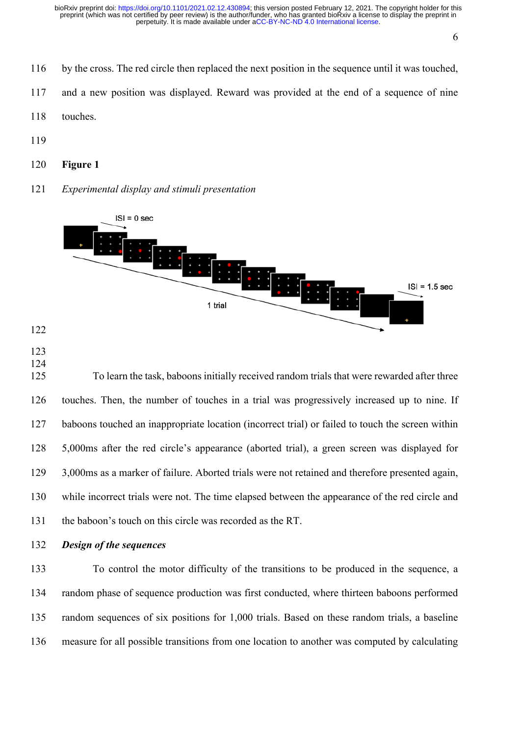- 
- by the cross. The red circle then replaced the next position in the sequence until it was touched,
- and a new position was displayed. Reward was provided at the end of a sequence of nine
- touches.
- 
- **Figure 1**
- *Experimental display and stimuli presentation*



- 
- 
- 

 To learn the task, baboons initially received random trials that were rewarded after three touches. Then, the number of touches in a trial was progressively increased up to nine. If baboons touched an inappropriate location (incorrect trial) or failed to touch the screen within 5,000ms after the red circle's appearance (aborted trial), a green screen was displayed for 3,000ms as a marker of failure. Aborted trials were not retained and therefore presented again, while incorrect trials were not. The time elapsed between the appearance of the red circle and the baboon's touch on this circle was recorded as the RT.

*Design of the sequences* 

 To control the motor difficulty of the transitions to be produced in the sequence, a random phase of sequence production was first conducted, where thirteen baboons performed random sequences of six positions for 1,000 trials. Based on these random trials, a baseline measure for all possible transitions from one location to another was computed by calculating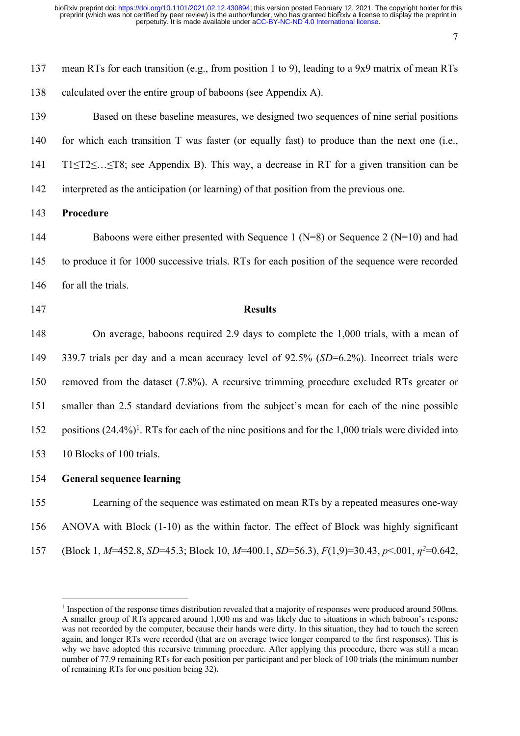137 mean RTs for each transition (e.g., from position 1 to 9), leading to a 9x9 matrix of mean RTs 138 calculated over the entire group of baboons (see Appendix A).

 Based on these baseline measures, we designed two sequences of nine serial positions for which each transition T was faster (or equally fast) to produce than the next one (i.e., T1≤T2≤…≤T8; see Appendix B). This way, a decrease in RT for a given transition can be interpreted as the anticipation (or learning) of that position from the previous one.

### 143 **Procedure**

144 Baboons were either presented with Sequence 1 (N=8) or Sequence 2 (N=10) and had 145 to produce it for 1000 successive trials. RTs for each position of the sequence were recorded 146 for all the trials.

147 **Results**

 On average, baboons required 2.9 days to complete the 1,000 trials, with a mean of 339.7 trials per day and a mean accuracy level of 92.5% (*SD*=6.2%). Incorrect trials were removed from the dataset (7.8%). A recursive trimming procedure excluded RTs greater or smaller than 2.5 standard deviations from the subject's mean for each of the nine possible 152 positions  $(24.4\%)$ <sup>1</sup>. RTs for each of the nine positions and for the 1,000 trials were divided into 10 Blocks of 100 trials.

154 **General sequence learning**

155 Learning of the sequence was estimated on mean RTs by a repeated measures one-way 156 ANOVA with Block (1-10) as the within factor. The effect of Block was highly significant (Block 1, *M*=452.8, *SD*=45.3; Block 10, *M*=400.1, *SD*=56.3),  $F(1,9)$ =30.43,  $p$ <.001,  $\eta$ <sup>2</sup>=0.642,

<sup>&</sup>lt;sup>1</sup> Inspection of the response times distribution revealed that a majority of responses were produced around 500ms. A smaller group of RTs appeared around 1,000 ms and was likely due to situations in which baboon's response was not recorded by the computer, because their hands were dirty. In this situation, they had to touch the screen again, and longer RTs were recorded (that are on average twice longer compared to the first responses). This is why we have adopted this recursive trimming procedure. After applying this procedure, there was still a mean number of 77.9 remaining RTs for each position per participant and per block of 100 trials (the minimum number of remaining RTs for one position being 32).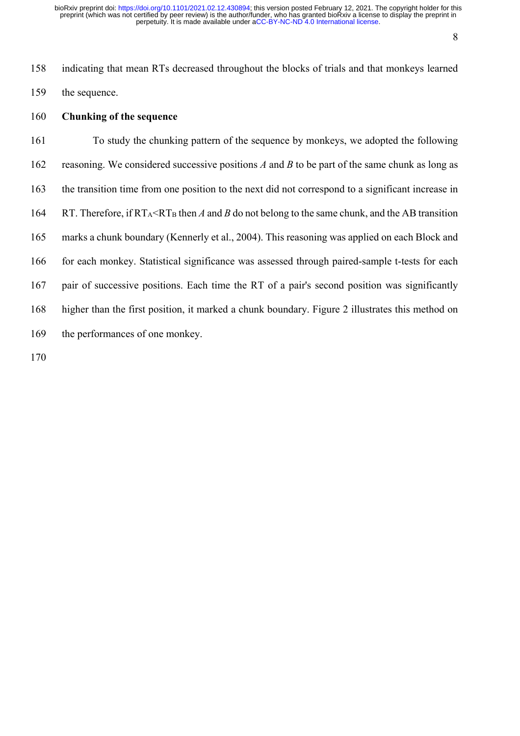indicating that mean RTs decreased throughout the blocks of trials and that monkeys learned the sequence.

## **Chunking of the sequence**

 To study the chunking pattern of the sequence by monkeys, we adopted the following reasoning. We considered successive positions *A* and *B* to be part of the same chunk as long as the transition time from one position to the next did not correspond to a significant increase in 164 RT. Therefore, if  $RT_A < RT_B$  then *A* and *B* do not belong to the same chunk, and the AB transition marks a chunk boundary (Kennerly et al., 2004). This reasoning was applied on each Block and for each monkey. Statistical significance was assessed through paired-sample t-tests for each pair of successive positions. Each time the RT of a pair's second position was significantly higher than the first position, it marked a chunk boundary. Figure 2 illustrates this method on the performances of one monkey.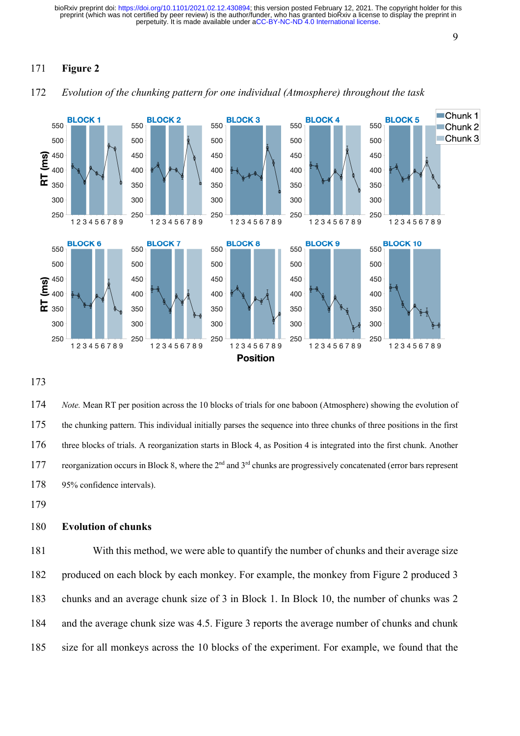# **Figure 2**



*Evolution of the chunking pattern for one individual (Atmosphere) throughout the task*

 *Note.* Mean RT per position across the 10 blocks of trials for one baboon (Atmosphere) showing the evolution of the chunking pattern. This individual initially parses the sequence into three chunks of three positions in the first three blocks of trials. A reorganization starts in Block 4, as Position 4 is integrated into the first chunk. Another 177 reorganization occurs in Block 8, where the  $2<sup>nd</sup>$  and  $3<sup>rd</sup>$  chunks are progressively concatenated (error bars represent 95% confidence intervals).

## **Evolution of chunks**

 With this method, we were able to quantify the number of chunks and their average size produced on each block by each monkey. For example, the monkey from Figure 2 produced 3 chunks and an average chunk size of 3 in Block 1. In Block 10, the number of chunks was 2 and the average chunk size was 4.5. Figure 3 reports the average number of chunks and chunk size for all monkeys across the 10 blocks of the experiment. For example, we found that the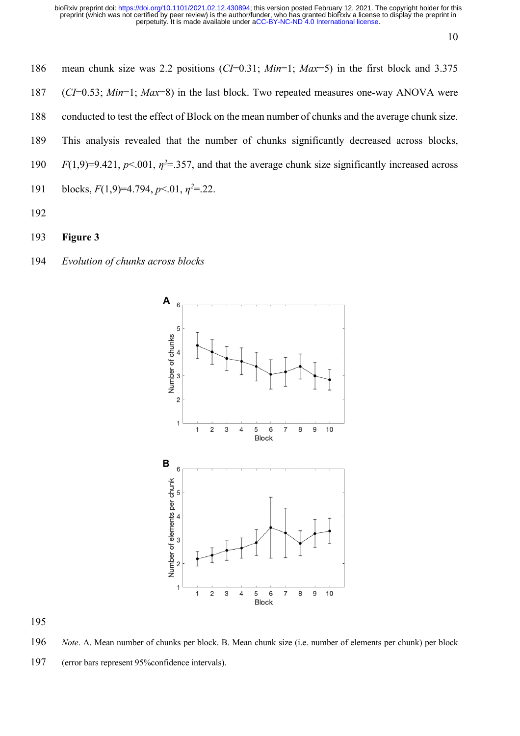- mean chunk size was 2.2 positions (*CI*=0.31; *Min*=1; *Max*=5) in the first block and 3.375 (*CI*=0.53; *Min*=1; *Max*=8) in the last block. Two repeated measures one-way ANOVA were conducted to test the effect of Block on the mean number of chunks and the average chunk size. This analysis revealed that the number of chunks significantly decreased across blocks, *F*(1,9)=9.421,  $p$ <.001,  $\eta$ <sup>2=</sup>.357, and that the average chunk size significantly increased across blocks,  $F(1,9)=4.794$ ,  $p<.01$ ,  $n^2=.22$ .
- 
- **Figure 3**
- *Evolution of chunks across blocks*



*Note*. A. Mean number of chunks per block. B. Mean chunk size (i.e. number of elements per chunk) per block

(error bars represent 95%confidence intervals).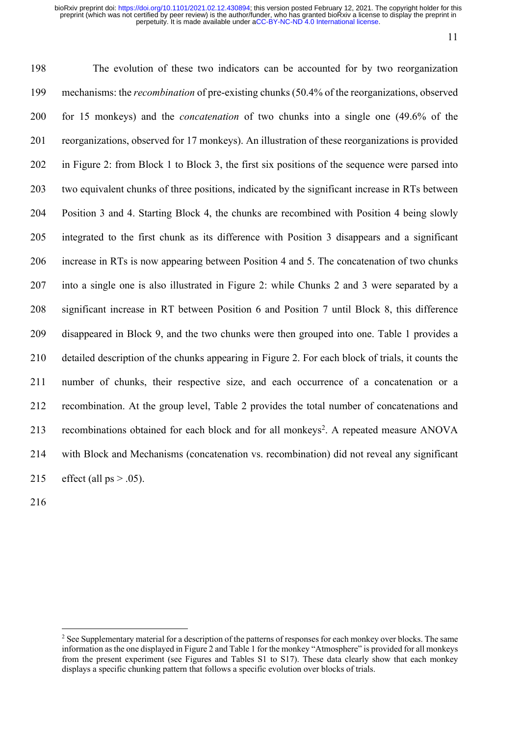The evolution of these two indicators can be accounted for by two reorganization mechanisms: the *recombination* of pre-existing chunks (50.4% of the reorganizations, observed for 15 monkeys) and the *concatenation* of two chunks into a single one (49.6% of the reorganizations, observed for 17 monkeys). An illustration of these reorganizations is provided in Figure 2: from Block 1 to Block 3, the first six positions of the sequence were parsed into two equivalent chunks of three positions, indicated by the significant increase in RTs between Position 3 and 4. Starting Block 4, the chunks are recombined with Position 4 being slowly integrated to the first chunk as its difference with Position 3 disappears and a significant increase in RTs is now appearing between Position 4 and 5. The concatenation of two chunks into a single one is also illustrated in Figure 2: while Chunks 2 and 3 were separated by a significant increase in RT between Position 6 and Position 7 until Block 8, this difference disappeared in Block 9, and the two chunks were then grouped into one. Table 1 provides a detailed description of the chunks appearing in Figure 2. For each block of trials, it counts the number of chunks, their respective size, and each occurrence of a concatenation or a recombination. At the group level, Table 2 provides the total number of concatenations and 213 recombinations obtained for each block and for all monkeys<sup>2</sup>. A repeated measure ANOVA with Block and Mechanisms (concatenation vs. recombination) did not reveal any significant 215 effect (all  $ps > .05$ ).

<sup>&</sup>lt;sup>2</sup> See Supplementary material for a description of the patterns of responses for each monkey over blocks. The same information asthe one displayed in Figure 2 and Table 1 for the monkey "Atmosphere" is provided for all monkeys from the present experiment (see Figures and Tables S1 to S17). These data clearly show that each monkey displays a specific chunking pattern that follows a specific evolution over blocks of trials.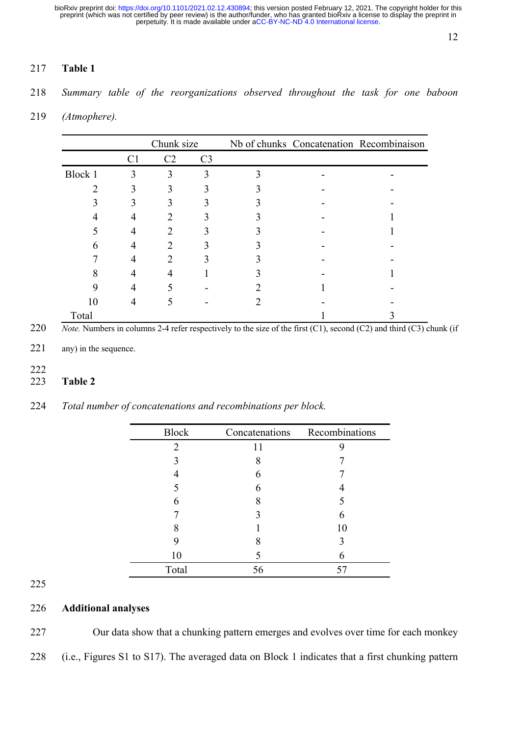# **Table 1**

*Summary table of the reorganizations observed throughout the task for one baboon* 

*(Atmophere).*

|         |                | Chunk size |                |  | Nb of chunks Concatenation Recombinaison |
|---------|----------------|------------|----------------|--|------------------------------------------|
|         | C <sub>1</sub> | C2         | C <sub>3</sub> |  |                                          |
| Block 1 | 3              | 3          |                |  |                                          |
|         |                | 3          |                |  |                                          |
|         |                |            |                |  |                                          |
|         |                |            |                |  |                                          |
|         | 4              |            |                |  |                                          |
| 6       | 4              |            |                |  |                                          |
|         | 4              |            |                |  |                                          |
| 8       | 4              |            |                |  |                                          |
|         |                |            |                |  |                                          |
| 10      | 4              |            |                |  |                                          |
| Total   |                |            |                |  |                                          |

*Note.* Numbers in columns 2-4 refer respectively to the size of the first (C1), second (C2) and third (C3) chunk (if

- 221 any) in the sequence.
- 
- **Table 2**

| 224 |  |  |  | Total number of concatenations and recombinations per block. |  |  |
|-----|--|--|--|--------------------------------------------------------------|--|--|
|-----|--|--|--|--------------------------------------------------------------|--|--|

| <b>Block</b> | Concatenations | Recombinations |
|--------------|----------------|----------------|
| 2            | 11             |                |
|              | 8              |                |
|              | 6              |                |
|              | 6              |                |
|              | 8              |                |
|              |                | 6              |
|              |                | 10             |
|              |                |                |
| 10           |                | 6              |
| Total        | 56             | 57             |

# **Additional analyses**

Our data show that a chunking pattern emerges and evolves over time for each monkey

(i.e., Figures S1 to S17). The averaged data on Block 1 indicates that a first chunking pattern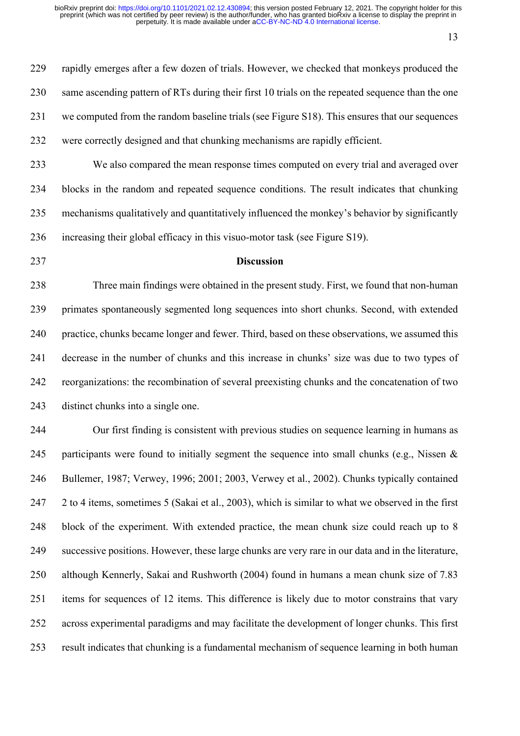rapidly emerges after a few dozen of trials. However, we checked that monkeys produced the 230 same ascending pattern of RTs during their first 10 trials on the repeated sequence than the one we computed from the random baseline trials (see Figure S18). This ensures that our sequences were correctly designed and that chunking mechanisms are rapidly efficient.

 We also compared the mean response times computed on every trial and averaged over blocks in the random and repeated sequence conditions. The result indicates that chunking mechanisms qualitatively and quantitatively influenced the monkey's behavior by significantly increasing their global efficacy in this visuo-motor task (see Figure S19).

#### **Discussion**

 Three main findings were obtained in the present study. First, we found that non-human primates spontaneously segmented long sequences into short chunks. Second, with extended practice, chunks became longer and fewer. Third, based on these observations, we assumed this decrease in the number of chunks and this increase in chunks' size was due to two types of reorganizations: the recombination of several preexisting chunks and the concatenation of two distinct chunks into a single one.

 Our first finding is consistent with previous studies on sequence learning in humans as 245 participants were found to initially segment the sequence into small chunks (e.g., Nissen  $\&$  Bullemer, 1987; Verwey, 1996; 2001; 2003, Verwey et al., 2002). Chunks typically contained 2 to 4 items, sometimes 5 (Sakai et al., 2003), which is similar to what we observed in the first block of the experiment. With extended practice, the mean chunk size could reach up to 8 successive positions. However, these large chunks are very rare in our data and in the literature, although Kennerly, Sakai and Rushworth (2004) found in humans a mean chunk size of 7.83 items for sequences of 12 items. This difference is likely due to motor constrains that vary across experimental paradigms and may facilitate the development of longer chunks. This first result indicates that chunking is a fundamental mechanism of sequence learning in both human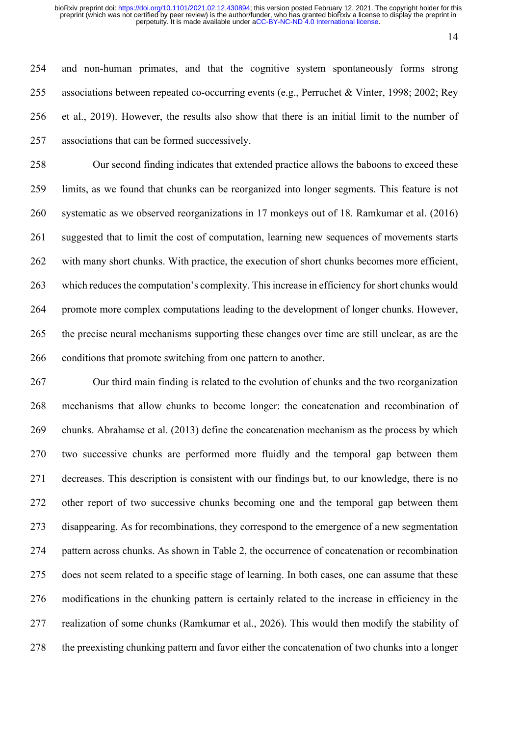and non-human primates, and that the cognitive system spontaneously forms strong associations between repeated co-occurring events (e.g., Perruchet & Vinter, 1998; 2002; Rey et al., 2019). However, the results also show that there is an initial limit to the number of associations that can be formed successively.

 Our second finding indicates that extended practice allows the baboons to exceed these limits, as we found that chunks can be reorganized into longer segments. This feature is not systematic as we observed reorganizations in 17 monkeys out of 18. Ramkumar et al. (2016) suggested that to limit the cost of computation, learning new sequences of movements starts with many short chunks. With practice, the execution of short chunks becomes more efficient, which reduces the computation's complexity. This increase in efficiency for short chunks would promote more complex computations leading to the development of longer chunks. However, the precise neural mechanisms supporting these changes over time are still unclear, as are the conditions that promote switching from one pattern to another.

 Our third main finding is related to the evolution of chunks and the two reorganization mechanisms that allow chunks to become longer: the concatenation and recombination of chunks. Abrahamse et al. (2013) define the concatenation mechanism as the process by which two successive chunks are performed more fluidly and the temporal gap between them decreases. This description is consistent with our findings but, to our knowledge, there is no other report of two successive chunks becoming one and the temporal gap between them disappearing. As for recombinations, they correspond to the emergence of a new segmentation pattern across chunks. As shown in Table 2, the occurrence of concatenation or recombination does not seem related to a specific stage of learning. In both cases, one can assume that these modifications in the chunking pattern is certainly related to the increase in efficiency in the realization of some chunks (Ramkumar et al., 2026). This would then modify the stability of the preexisting chunking pattern and favor either the concatenation of two chunks into a longer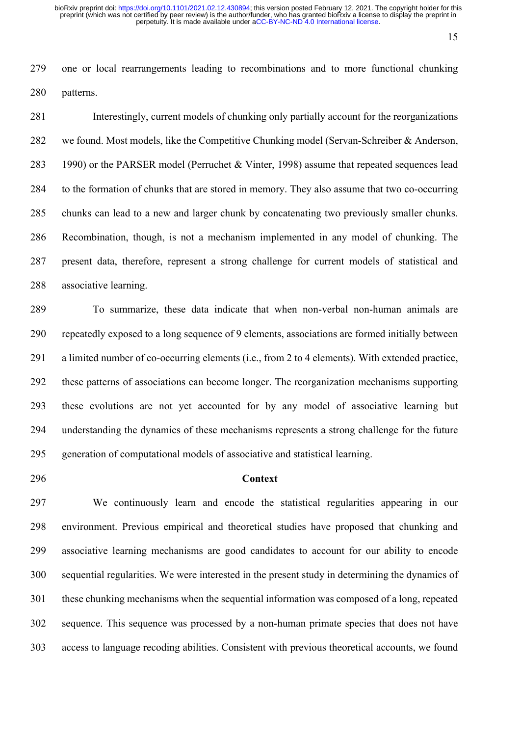one or local rearrangements leading to recombinations and to more functional chunking patterns.

 Interestingly, current models of chunking only partially account for the reorganizations we found. Most models, like the Competitive Chunking model (Servan-Schreiber & Anderson, 1990) or the PARSER model (Perruchet & Vinter, 1998) assume that repeated sequences lead to the formation of chunks that are stored in memory. They also assume that two co-occurring chunks can lead to a new and larger chunk by concatenating two previously smaller chunks. Recombination, though, is not a mechanism implemented in any model of chunking. The present data, therefore, represent a strong challenge for current models of statistical and associative learning.

 To summarize, these data indicate that when non-verbal non-human animals are repeatedly exposed to a long sequence of 9 elements, associations are formed initially between a limited number of co-occurring elements (i.e., from 2 to 4 elements). With extended practice, these patterns of associations can become longer. The reorganization mechanisms supporting these evolutions are not yet accounted for by any model of associative learning but understanding the dynamics of these mechanisms represents a strong challenge for the future generation of computational models of associative and statistical learning.

# **Context**

 We continuously learn and encode the statistical regularities appearing in our environment. Previous empirical and theoretical studies have proposed that chunking and associative learning mechanisms are good candidates to account for our ability to encode sequential regularities. We were interested in the present study in determining the dynamics of these chunking mechanisms when the sequential information was composed of a long, repeated sequence. This sequence was processed by a non-human primate species that does not have access to language recoding abilities. Consistent with previous theoretical accounts, we found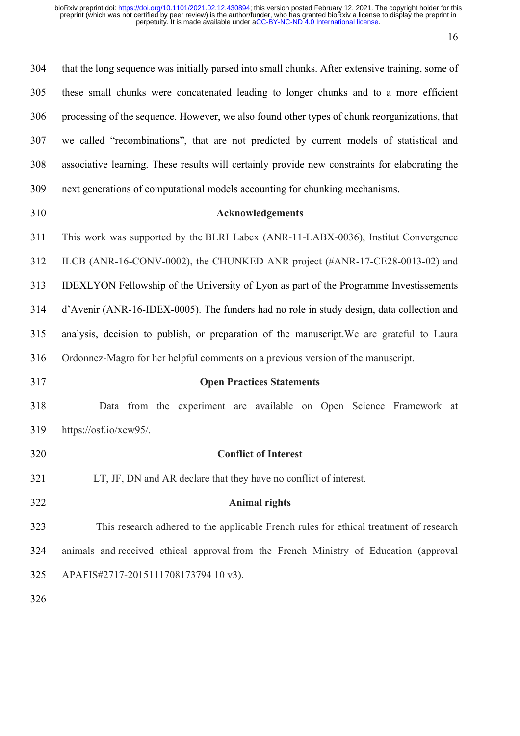| 304 | that the long sequence was initially parsed into small chunks. After extensive training, some of |
|-----|--------------------------------------------------------------------------------------------------|
| 305 | these small chunks were concatenated leading to longer chunks and to a more efficient            |
| 306 | processing of the sequence. However, we also found other types of chunk reorganizations, that    |
| 307 | we called "recombinations", that are not predicted by current models of statistical and          |
| 308 | associative learning. These results will certainly provide new constraints for elaborating the   |
| 309 | next generations of computational models accounting for chunking mechanisms.                     |
| 310 | Acknowledgements                                                                                 |
| 311 | This work was supported by the BLRI Labex (ANR-11-LABX-0036), Institut Convergence               |
| 312 | ILCB (ANR-16-CONV-0002), the CHUNKED ANR project (#ANR-17-CE28-0013-02) and                      |
| 313 | IDEXLYON Fellowship of the University of Lyon as part of the Programme Investissements           |
| 314 | d'Avenir (ANR-16-IDEX-0005). The funders had no role in study design, data collection and        |
| 315 | analysis, decision to publish, or preparation of the manuscript. We are grateful to Laura        |
| 316 | Ordonnez-Magro for her helpful comments on a previous version of the manuscript.                 |
| 317 | <b>Open Practices Statements</b>                                                                 |
| 318 | Data from the experiment are available on Open Science Framework at                              |
| 319 | https://osf.io/xcw95/.                                                                           |
| 320 | <b>Conflict of Interest</b>                                                                      |
| 321 | LT, JF, DN and AR declare that they have no conflict of interest.                                |
| 322 | <b>Animal rights</b>                                                                             |
| 323 | This research adhered to the applicable French rules for ethical treatment of research           |
| 324 | animals and received ethical approval from the French Ministry of Education (approval            |
| 325 | APAFIS#2717-2015111708173794 10 v3).                                                             |
| 326 |                                                                                                  |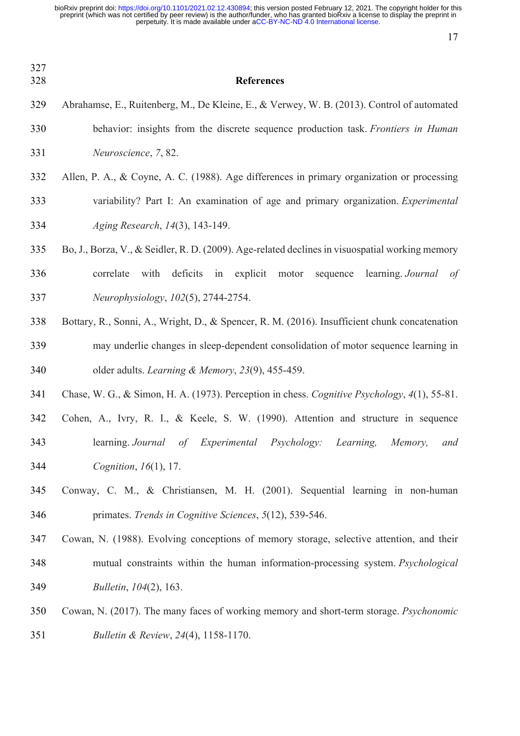| 327<br>328 | <b>References</b>                                                                               |
|------------|-------------------------------------------------------------------------------------------------|
| 329        | Abrahamse, E., Ruitenberg, M., De Kleine, E., & Verwey, W. B. (2013). Control of automated      |
| 330        | behavior: insights from the discrete sequence production task. Frontiers in Human               |
| 331        | Neuroscience, 7, 82.                                                                            |
| 332        | Allen, P. A., & Coyne, A. C. (1988). Age differences in primary organization or processing      |
| 333        | variability? Part I: An examination of age and primary organization. Experimental               |
| 334        | Aging Research, 14(3), 143-149.                                                                 |
| 335        | Bo, J., Borza, V., & Seidler, R. D. (2009). Age-related declines in visuospatial working memory |
| 336        | with<br>deficits in explicit motor sequence<br>learning. Journal<br>correlate<br>of             |
| 337        | Neurophysiology, 102(5), 2744-2754.                                                             |
| 338        | Bottary, R., Sonni, A., Wright, D., & Spencer, R. M. (2016). Insufficient chunk concatenation   |
| 339        | may underlie changes in sleep-dependent consolidation of motor sequence learning in             |
| 340        | older adults. Learning & Memory, 23(9), 455-459.                                                |
| 341        | Chase, W. G., & Simon, H. A. (1973). Perception in chess. Cognitive Psychology, 4(1), 55-81.    |
| 342        | Cohen, A., Ivry, R. I., & Keele, S. W. (1990). Attention and structure in sequence              |
| 343        | learning. Journal of Experimental Psychology: Learning, Memory, and                             |
| 344        | Cognition, 16(1), 17.                                                                           |
| 345        | Conway, C. M., & Christiansen, M. H. (2001). Sequential learning in non-human                   |
| 346        | primates. Trends in Cognitive Sciences, 5(12), 539-546.                                         |
| 347        | Cowan, N. (1988). Evolving conceptions of memory storage, selective attention, and their        |
| 348        | mutual constraints within the human information-processing system. Psychological                |
| 349        | Bulletin, 104(2), 163.                                                                          |
| 350        | Cowan, N. (2017). The many faces of working memory and short-term storage. Psychonomic          |
| 351        | Bulletin & Review, 24(4), 1158-1170.                                                            |
|            |                                                                                                 |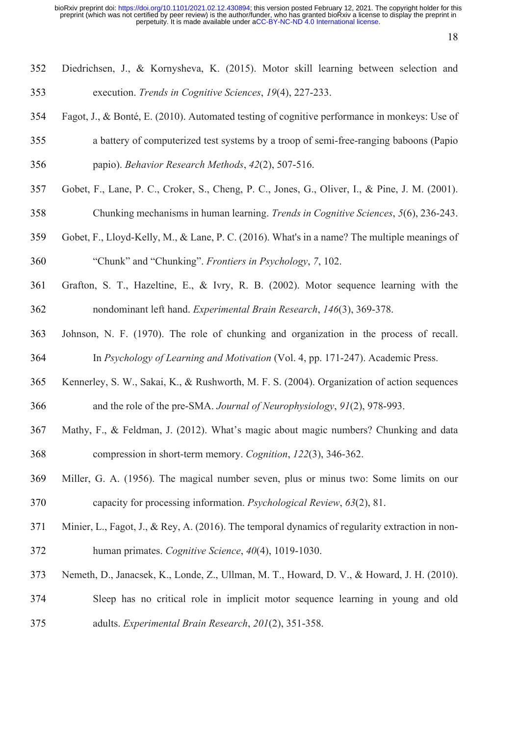- Diedrichsen, J., & Kornysheva, K. (2015). Motor skill learning between selection and execution. *Trends in Cognitive Sciences*, *19*(4), 227-233.
- Fagot, J., & Bonté, E. (2010). Automated testing of cognitive performance in monkeys: Use of
- a battery of computerized test systems by a troop of semi-free-ranging baboons (Papio papio). *Behavior Research Methods*, *42*(2), 507-516.
- 
- Gobet, F., Lane, P. C., Croker, S., Cheng, P. C., Jones, G., Oliver, I., & Pine, J. M. (2001).
- Chunking mechanisms in human learning. *Trends in Cognitive Sciences*, *5*(6), 236-243.
- Gobet, F., Lloyd-Kelly, M., & Lane, P. C. (2016). What's in a name? The multiple meanings of "Chunk" and "Chunking". *Frontiers in Psychology*, *7*, 102.
- Grafton, S. T., Hazeltine, E., & Ivry, R. B. (2002). Motor sequence learning with the nondominant left hand. *Experimental Brain Research*, *146*(3), 369-378.
- Johnson, N. F. (1970). The role of chunking and organization in the process of recall. In *Psychology of Learning and Motivation* (Vol. 4, pp. 171-247). Academic Press.
- Kennerley, S. W., Sakai, K., & Rushworth, M. F. S. (2004). Organization of action sequences and the role of the pre-SMA. *Journal of Neurophysiology*, *91*(2), 978-993.
- Mathy, F., & Feldman, J. (2012). What's magic about magic numbers? Chunking and data compression in short-term memory. *Cognition*, *122*(3), 346-362.
- Miller, G. A. (1956). The magical number seven, plus or minus two: Some limits on our capacity for processing information. *Psychological Review*, *63*(2), 81.
- 371 Minier, L., Fagot, J., & Rey, A. (2016). The temporal dynamics of regularity extraction in non-human primates. *Cognitive Science*, *40*(4), 1019-1030.
- Nemeth, D., Janacsek, K., Londe, Z., Ullman, M. T., Howard, D. V., & Howard, J. H. (2010).
- Sleep has no critical role in implicit motor sequence learning in young and old adults. *Experimental Brain Research*, *201*(2), 351-358.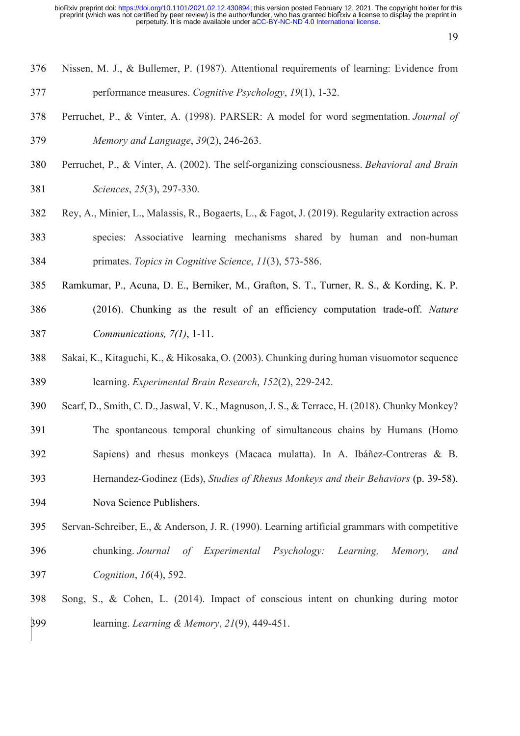- Nissen, M. J., & Bullemer, P. (1987). Attentional requirements of learning: Evidence from performance measures. *Cognitive Psychology*, *19*(1), 1-32.
- Perruchet, P., & Vinter, A. (1998). PARSER: A model for word segmentation. *Journal of Memory and Language*, *39*(2), 246-263.
- Perruchet, P., & Vinter, A. (2002). The self-organizing consciousness. *Behavioral and Brain Sciences*, *25*(3), 297-330.
- Rey, A., Minier, L., Malassis, R., Bogaerts, L., & Fagot, J. (2019). Regularity extraction across species: Associative learning mechanisms shared by human and non‐human primates. *Topics in Cognitive Science*, *11*(3), 573-586.
- Ramkumar, P., Acuna, D. E., Berniker, M., Grafton, S. T., Turner, R. S., & Kording, K. P. (2016). Chunking as the result of an efficiency computation trade-off. *Nature Communications, 7(1)*, 1-11.
- Sakai, K., Kitaguchi, K., & Hikosaka, O. (2003). Chunking during human visuomotor sequence learning. *Experimental Brain Research*, *152*(2), 229-242.
- Scarf, D., Smith, C. D., Jaswal, V. K., Magnuson, J. S., & Terrace, H. (2018). Chunky Monkey?
- The spontaneous temporal chunking of simultaneous chains by Humans (Homo
- Sapiens) and rhesus monkeys (Macaca mulatta). In A. Ibáñez-Contreras & B.
- Hernandez-Godinez (Eds), *Studies of Rhesus Monkeys and their Behaviors* (p. 39-58).
- Nova Science Publishers.
- Servan-Schreiber, E., & Anderson, J. R. (1990). Learning artificial grammars with competitive chunking. *Journal of Experimental Psychology: Learning, Memory, and Cognition*, *16*(4), 592.
- Song, S., & Cohen, L. (2014). Impact of conscious intent on chunking during motor learning. *Learning & Memory*, *21*(9), 449-451.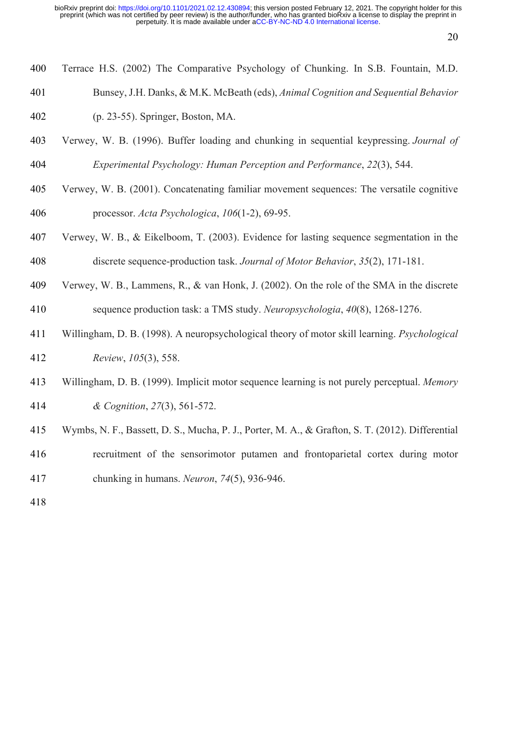- Terrace H.S. (2002) The Comparative Psychology of Chunking. In S.B. Fountain, M.D.
- Bunsey, J.H. Danks, & M.K. McBeath (eds), *Animal Cognition and Sequential Behavior*
- (p. 23-55). Springer, Boston, MA.
- Verwey, W. B. (1996). Buffer loading and chunking in sequential keypressing. *Journal of Experimental Psychology: Human Perception and Performance*, *22*(3), 544.
- Verwey, W. B. (2001). Concatenating familiar movement sequences: The versatile cognitive processor. *Acta Psychologica*, *106*(1-2), 69-95.
- Verwey, W. B., & Eikelboom, T. (2003). Evidence for lasting sequence segmentation in the discrete sequence-production task. *Journal of Motor Behavior*, *35*(2), 171-181.
- Verwey, W. B., Lammens, R., & van Honk, J. (2002). On the role of the SMA in the discrete sequence production task: a TMS study. *Neuropsychologia*, *40*(8), 1268-1276.
- Willingham, D. B. (1998). A neuropsychological theory of motor skill learning. *Psychological Review*, *105*(3), 558.
- Willingham, D. B. (1999). Implicit motor sequence learning is not purely perceptual. *Memory & Cognition*, *27*(3), 561-572.
- Wymbs, N. F., Bassett, D. S., Mucha, P. J., Porter, M. A., & Grafton, S. T. (2012). Differential
- recruitment of the sensorimotor putamen and frontoparietal cortex during motor chunking in humans. *Neuron*, *74*(5), 936-946.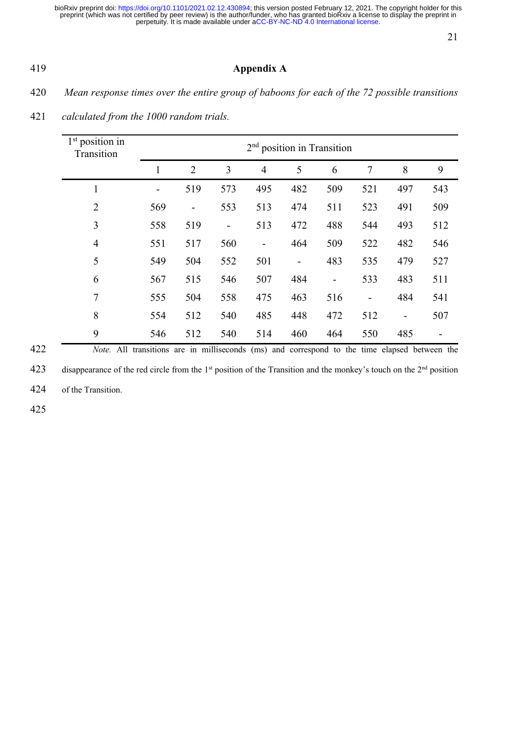# **Appendix A**

*Mean response times over the entire group of baboons for each of the 72 possible transitions* 

| calculated from the 1000 random trials.<br>421 |  |  |
|------------------------------------------------|--|--|
|------------------------------------------------|--|--|

| $1st$ position in<br>Transition |     |                          |                          | $2nd$ position in Transition |                          |                          |                |                          |     |
|---------------------------------|-----|--------------------------|--------------------------|------------------------------|--------------------------|--------------------------|----------------|--------------------------|-----|
|                                 | 1   | $\overline{2}$           | 3                        | $\overline{4}$               | 5                        | 6                        | 7              | 8                        | 9   |
| $\mathbf 1$                     |     | 519                      | 573                      | 495                          | 482                      | 509                      | 521            | 497                      | 543 |
| $\overline{2}$                  | 569 | $\overline{\phantom{a}}$ | 553                      | 513                          | 474                      | 511                      | 523            | 491                      | 509 |
| 3                               | 558 | 519                      | $\overline{\phantom{0}}$ | 513                          | 472                      | 488                      | 544            | 493                      | 512 |
| $\overline{4}$                  | 551 | 517                      | 560                      | ۰                            | 464                      | 509                      | 522            | 482                      | 546 |
| 5                               | 549 | 504                      | 552                      | 501                          | $\overline{\phantom{a}}$ | 483                      | 535            | 479                      | 527 |
| 6                               | 567 | 515                      | 546                      | 507                          | 484                      | $\overline{\phantom{0}}$ | 533            | 483                      | 511 |
| 7                               | 555 | 504                      | 558                      | 475                          | 463                      | 516                      | $\overline{a}$ | 484                      | 541 |
| 8                               | 554 | 512                      | 540                      | 485                          | 448                      | 472                      | 512            | $\overline{\phantom{a}}$ | 507 |
| 9                               | 546 | 512                      | 540                      | 514                          | 460                      | 464                      | 550            | 485                      |     |

*Note.* All transitions are in milliseconds (ms) and correspond to the time elapsed between the

423 disappearance of the red circle from the 1<sup>st</sup> position of the Transition and the monkey's touch on the 2<sup>nd</sup> position

of the Transition.